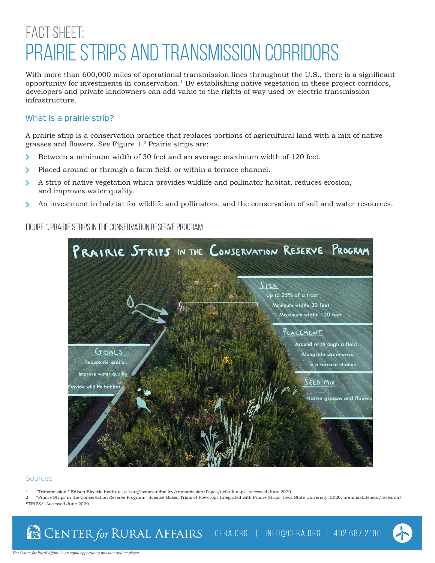# FACT SHEET: Prairie Strips and Transmission Corridors

With more than 600,000 miles of operational transmission lines throughout the U.S., there is a significant opportunity for investments in conservation.<sup>1</sup> By establishing native vegetation in these project corridors, developers and private landowners can add value to the rights of way used by electric transmission infrastructure.

## What is a prairie strip?

A prairie strip is a conservation practice that replaces portions of agricultural land with a mix of native grasses and flowers. See Figure 1.2 Prairie strips are:

- Between a minimum width of 30 feet and an average maximum width of 120 feet.  $\blacktriangleright$
- Placed around or through a farm field, or within a terrace channel. ۵
- $\blacktriangleright$ A strip of native vegetation which provides wildlife and pollinator habitat, reduces erosion, and improves water quality.
- An investment in habitat for wildlife and pollinators, and the conservation of soil and water resources. D

Figure 1. Prairie strips in the conservation reserve program



#### **Sources**

- 1 "Transmission." Edison Electric Institute, eei.org/issuesandpolicy/transmission/Pages/default.aspx. Accessed June 2020.
- 2 "Prairie Strips in the Conservation Reserve Program." Science-Based Trials of Rowcrops Integrated with Prairie Strips, Iowa State University, 2020, nrem.iastate.edu/research/ STRIPS/. Accessed June 2020.

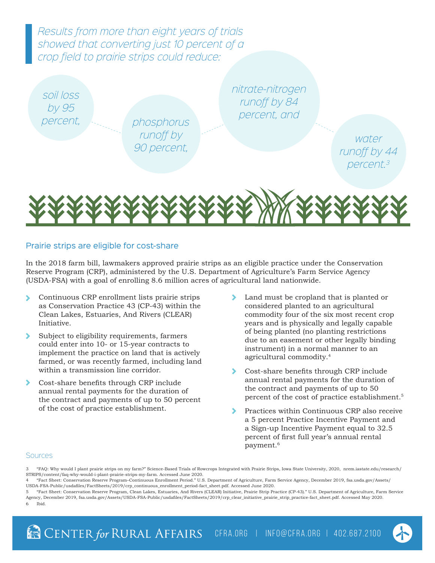*Results from more than eight years of trials showed that converting just 10 percent of a crop field to prairie strips could reduce:*

*soil loss by 95* 

*percent, phosphorus runoff by 90 percent,*

*nitrate-nitrogen runoff by 84 percent, and*

> *water runoff by 44 percent.3*



## Prairie strips are eligible for cost-share

In the 2018 farm bill, lawmakers approved prairie strips as an eligible practice under the Conservation Reserve Program (CRP), administered by the U.S. Department of Agriculture's Farm Service Agency (USDA-FSA) with a goal of enrolling 8.6 million acres of agricultural land nationwide.

- Continuous CRP enrollment lists prairie strips X as Conservation Practice 43 (CP-43) within the Clean Lakes, Estuaries, And Rivers (CLEAR) Initiative.
- ⋟ Subject to eligibility requirements, farmers could enter into 10- or 15-year contracts to implement the practice on land that is actively farmed, or was recently farmed, including land within a transmission line corridor.
- ⋟ Cost-share benefits through CRP include annual rental payments for the duration of the contract and payments of up to 50 percent of the cost of practice establishment.
- Land must be cropland that is planted or ≻ considered planted to an agricultural commodity four of the six most recent crop years and is physically and legally capable of being planted (no planting restrictions due to an easement or other legally binding instrument) in a normal manner to an agricultural commodity.<sup>4</sup>
- Cost-share benefits through CRP include annual rental payments for the duration of the contract and payments of up to 50 percent of the cost of practice establishment.<sup>5</sup>
- Practices within Continuous CRP also receive a 5 percent Practice Incentive Payment and a Sign-up Incentive Payment equal to 32.5 percent of first full year's annual rental payment.6

### **Sources**

3 "FAQ: Why would I plant prairie strips on my farm?" Science-Based Trials of Rowcrops Integrated with Prairie Strips, Iowa State University, 2020, nrem.iastate.edu/research/ STRIPS/content/faq-why-would-i-plant-prairie-strips-my-farm. Accessed June 2020.

4 "Fact Sheet: Conservation Reserve Program–Continuous Enrollment Period." U.S. Department of Agriculture, Farm Service Agency, December 2019, fsa.usda.gov/Assets/ USDA-FSA-Public/usdafiles/FactSheets/2019/crp\_continuous\_enrollment\_period-fact\_sheet.pdf. Accessed June 2020.

5 "Fact Sheet: Conservation Reserve Program, Clean Lakes, Estuaries, And Rivers (CLEAR) Initiative, Prairie Strip Practice (CP-43)." U.S. Department of Agriculture, Farm Service Agency, December 2019, fsa.usda.gov/Assets/USDA-FSA-Public/usdafiles/FactSheets/2019/crp\_clear\_initiative\_prairie\_strip\_practice-fact\_sheet.pdf. Accessed May 2020. 6 Ibid.